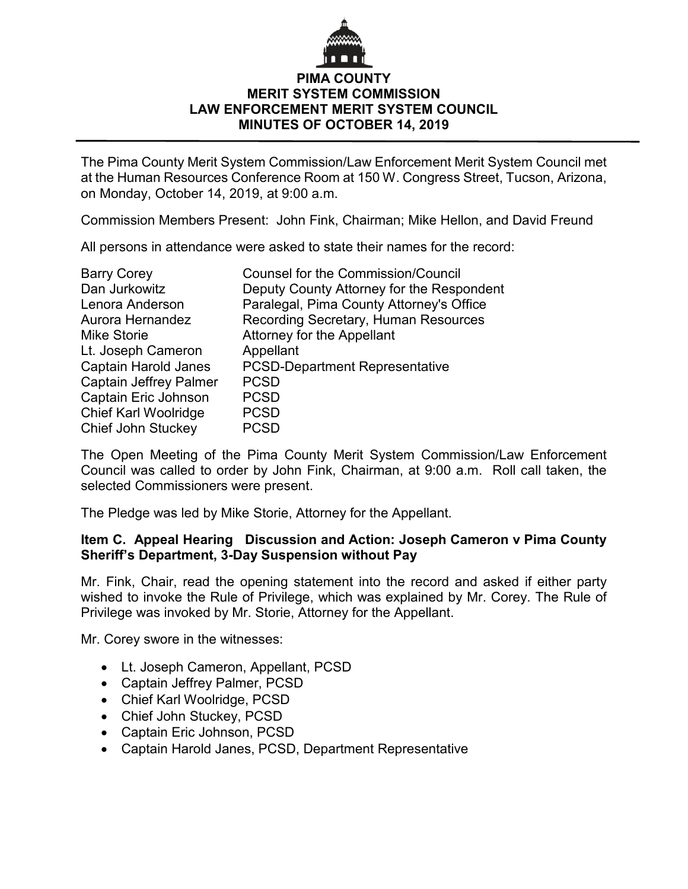## **PIMA COUNTY MERIT SYSTEM COMMISSION LAW ENFORCEMENT MERIT SYSTEM COUNCIL MINUTES OF OCTOBER 14, 2019**

The Pima County Merit System Commission/Law Enforcement Merit System Council met at the Human Resources Conference Room at 150 W. Congress Street, Tucson, Arizona, on Monday, October 14, 2019, at 9:00 a.m.

Commission Members Present: John Fink, Chairman; Mike Hellon, and David Freund

All persons in attendance were asked to state their names for the record:

| <b>Counsel for the Commission/Council</b> |
|-------------------------------------------|
| Deputy County Attorney for the Respondent |
| Paralegal, Pima County Attorney's Office  |
| Recording Secretary, Human Resources      |
| Attorney for the Appellant                |
| Appellant                                 |
| <b>PCSD-Department Representative</b>     |
| <b>PCSD</b>                               |
| <b>PCSD</b>                               |
| <b>PCSD</b>                               |
| <b>PCSD</b>                               |
|                                           |

The Open Meeting of the Pima County Merit System Commission/Law Enforcement Council was called to order by John Fink, Chairman, at 9:00 a.m. Roll call taken, the selected Commissioners were present.

The Pledge was led by Mike Storie, Attorney for the Appellant.

## **Item C. Appeal Hearing Discussion and Action: Joseph Cameron v Pima County Sheriff's Department, 3-Day Suspension without Pay**

Mr. Fink, Chair, read the opening statement into the record and asked if either party wished to invoke the Rule of Privilege, which was explained by Mr. Corey. The Rule of Privilege was invoked by Mr. Storie, Attorney for the Appellant.

Mr. Corey swore in the witnesses:

- Lt. Joseph Cameron, Appellant, PCSD
- Captain Jeffrey Palmer, PCSD
- Chief Karl Woolridge, PCSD
- Chief John Stuckey, PCSD
- Captain Eric Johnson, PCSD
- Captain Harold Janes, PCSD, Department Representative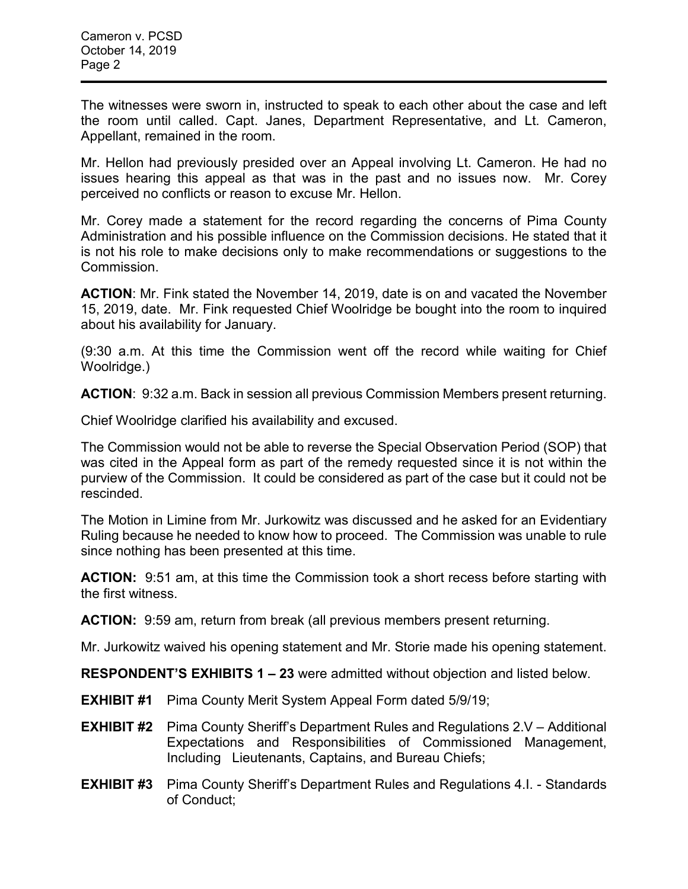The witnesses were sworn in, instructed to speak to each other about the case and left the room until called. Capt. Janes, Department Representative, and Lt. Cameron, Appellant, remained in the room.

Mr. Hellon had previously presided over an Appeal involving Lt. Cameron. He had no issues hearing this appeal as that was in the past and no issues now. Mr. Corey perceived no conflicts or reason to excuse Mr. Hellon.

Mr. Corey made a statement for the record regarding the concerns of Pima County Administration and his possible influence on the Commission decisions. He stated that it is not his role to make decisions only to make recommendations or suggestions to the Commission.

**ACTION**: Mr. Fink stated the November 14, 2019, date is on and vacated the November 15, 2019, date. Mr. Fink requested Chief Woolridge be bought into the room to inquired about his availability for January.

(9:30 a.m. At this time the Commission went off the record while waiting for Chief Woolridge.)

**ACTION**: 9:32 a.m. Back in session all previous Commission Members present returning.

Chief Woolridge clarified his availability and excused.

The Commission would not be able to reverse the Special Observation Period (SOP) that was cited in the Appeal form as part of the remedy requested since it is not within the purview of the Commission. It could be considered as part of the case but it could not be rescinded.

The Motion in Limine from Mr. Jurkowitz was discussed and he asked for an Evidentiary Ruling because he needed to know how to proceed. The Commission was unable to rule since nothing has been presented at this time.

**ACTION:** 9:51 am, at this time the Commission took a short recess before starting with the first witness.

**ACTION:** 9:59 am, return from break (all previous members present returning.

Mr. Jurkowitz waived his opening statement and Mr. Storie made his opening statement.

**RESPONDENT'S EXHIBITS 1 – 23** were admitted without objection and listed below.

- **EXHIBIT #1** Pima County Merit System Appeal Form dated 5/9/19;
- **EXHIBIT #2** Pima County Sheriff's Department Rules and Regulations 2.V Additional Expectations and Responsibilities of Commissioned Management, Including Lieutenants, Captains, and Bureau Chiefs;
- **EXHIBIT #3** Pima County Sheriff's Department Rules and Regulations 4.I. Standards of Conduct;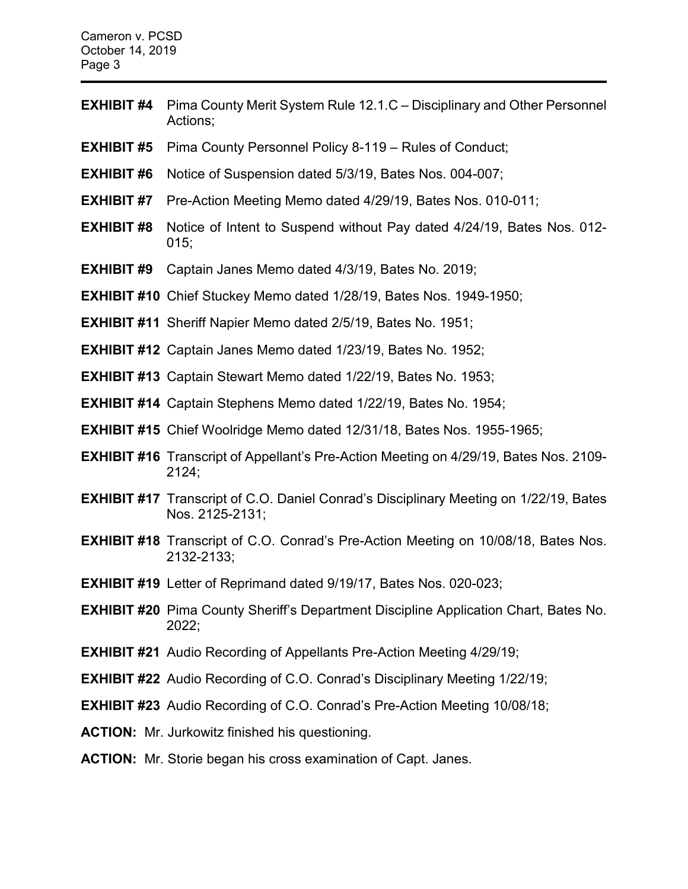Cameron v. PCSD October 14, 2019 Page 3

- **EXHIBIT #4** Pima County Merit System Rule 12.1.C Disciplinary and Other Personnel Actions;
- **EXHIBIT #5** Pima County Personnel Policy 8-119 Rules of Conduct;
- **EXHIBIT #6** Notice of Suspension dated 5/3/19, Bates Nos. 004-007;
- **EXHIBIT #7** Pre-Action Meeting Memo dated 4/29/19, Bates Nos. 010-011;
- **EXHIBIT #8** Notice of Intent to Suspend without Pay dated 4/24/19, Bates Nos. 012- 015;
- **EXHIBIT #9** Captain Janes Memo dated 4/3/19, Bates No. 2019;
- **EXHIBIT #10** Chief Stuckey Memo dated 1/28/19, Bates Nos. 1949-1950;
- **EXHIBIT #11** Sheriff Napier Memo dated 2/5/19, Bates No. 1951;
- **EXHIBIT #12** Captain Janes Memo dated 1/23/19, Bates No. 1952;
- **EXHIBIT #13** Captain Stewart Memo dated 1/22/19, Bates No. 1953;
- **EXHIBIT #14** Captain Stephens Memo dated 1/22/19, Bates No. 1954;
- **EXHIBIT #15** Chief Woolridge Memo dated 12/31/18, Bates Nos. 1955-1965;
- **EXHIBIT #16** Transcript of Appellant's Pre-Action Meeting on 4/29/19, Bates Nos. 2109- 2124;
- **EXHIBIT #17** Transcript of C.O. Daniel Conrad's Disciplinary Meeting on 1/22/19, Bates Nos. 2125-2131;
- **EXHIBIT #18** Transcript of C.O. Conrad's Pre-Action Meeting on 10/08/18, Bates Nos. 2132-2133;
- **EXHIBIT #19** Letter of Reprimand dated 9/19/17, Bates Nos. 020-023;
- **EXHIBIT #20** Pima County Sheriff's Department Discipline Application Chart, Bates No. 2022;
- **EXHIBIT #21** Audio Recording of Appellants Pre-Action Meeting 4/29/19;
- **EXHIBIT #22** Audio Recording of C.O. Conrad's Disciplinary Meeting 1/22/19;
- **EXHIBIT #23** Audio Recording of C.O. Conrad's Pre-Action Meeting 10/08/18;
- **ACTION:** Mr. Jurkowitz finished his questioning.
- **ACTION:** Mr. Storie began his cross examination of Capt. Janes.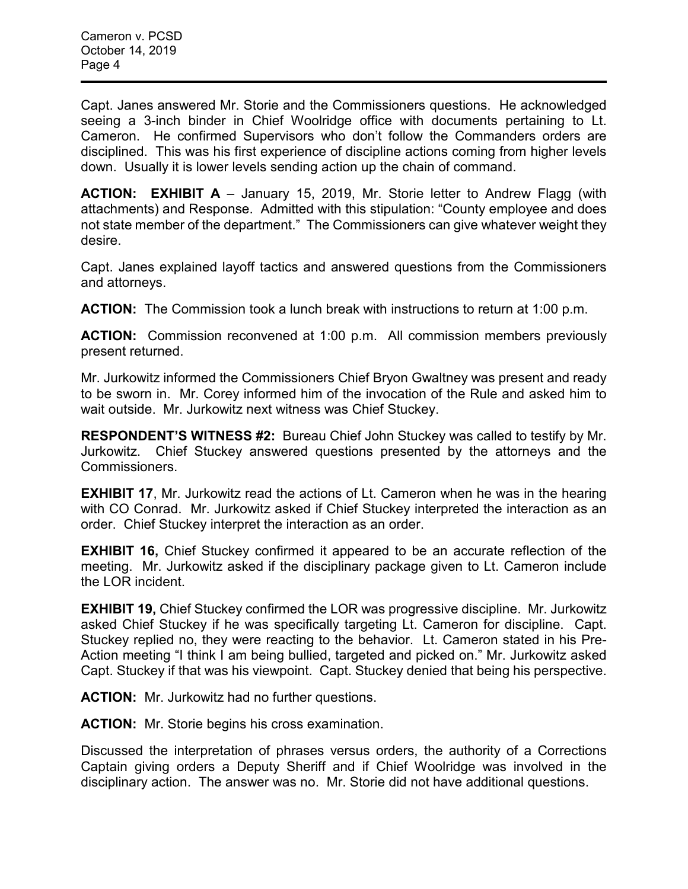Capt. Janes answered Mr. Storie and the Commissioners questions. He acknowledged seeing a 3-inch binder in Chief Woolridge office with documents pertaining to Lt. Cameron. He confirmed Supervisors who don't follow the Commanders orders are disciplined. This was his first experience of discipline actions coming from higher levels down. Usually it is lower levels sending action up the chain of command.

**ACTION: EXHIBIT A** – January 15, 2019, Mr. Storie letter to Andrew Flagg (with attachments) and Response. Admitted with this stipulation: "County employee and does not state member of the department." The Commissioners can give whatever weight they desire.

Capt. Janes explained layoff tactics and answered questions from the Commissioners and attorneys.

**ACTION:** The Commission took a lunch break with instructions to return at 1:00 p.m.

**ACTION:** Commission reconvened at 1:00 p.m. All commission members previously present returned.

Mr. Jurkowitz informed the Commissioners Chief Bryon Gwaltney was present and ready to be sworn in. Mr. Corey informed him of the invocation of the Rule and asked him to wait outside. Mr. Jurkowitz next witness was Chief Stuckey.

**RESPONDENT'S WITNESS #2:** Bureau Chief John Stuckey was called to testify by Mr. Jurkowitz. Chief Stuckey answered questions presented by the attorneys and the Commissioners.

**EXHIBIT 17.** Mr. Jurkowitz read the actions of Lt. Cameron when he was in the hearing with CO Conrad. Mr. Jurkowitz asked if Chief Stuckey interpreted the interaction as an order. Chief Stuckey interpret the interaction as an order.

**EXHIBIT 16,** Chief Stuckey confirmed it appeared to be an accurate reflection of the meeting. Mr. Jurkowitz asked if the disciplinary package given to Lt. Cameron include the LOR incident.

**EXHIBIT 19,** Chief Stuckey confirmed the LOR was progressive discipline. Mr. Jurkowitz asked Chief Stuckey if he was specifically targeting Lt. Cameron for discipline. Capt. Stuckey replied no, they were reacting to the behavior. Lt. Cameron stated in his Pre-Action meeting "I think I am being bullied, targeted and picked on." Mr. Jurkowitz asked Capt. Stuckey if that was his viewpoint. Capt. Stuckey denied that being his perspective.

**ACTION:** Mr. Jurkowitz had no further questions.

**ACTION:** Mr. Storie begins his cross examination.

Discussed the interpretation of phrases versus orders, the authority of a Corrections Captain giving orders a Deputy Sheriff and if Chief Woolridge was involved in the disciplinary action. The answer was no. Mr. Storie did not have additional questions.